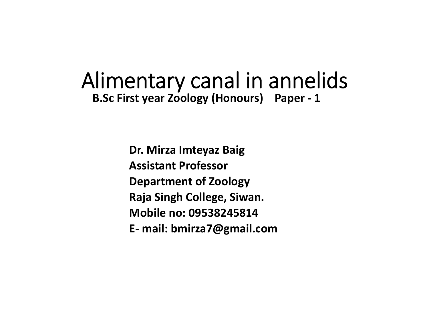### Alimentary canal in annelids **B.Sc First year Zoology (Honours) Paper ‐ 1**

**Dr. Mirza Imteyaz Baig Assistant ProfessorDepartment of Zoology Raja Singh College, Siwan. Mobile no: 09538245814E‐ mail: bmirza7@gmail.com**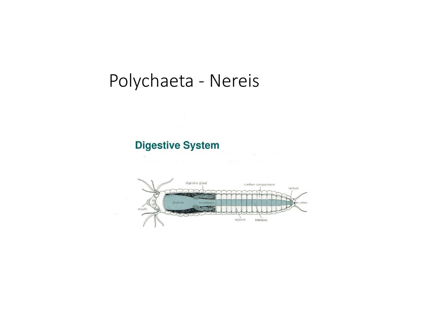# Polychaeta - Nereis

#### **Digestive System**

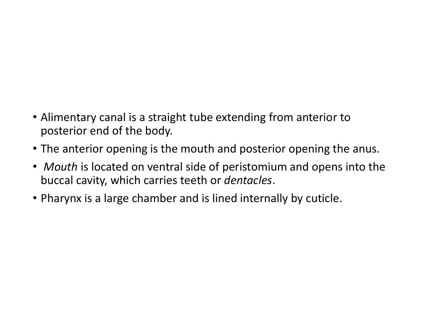- Alimentary canal is a straight tube extending from anterior to posterior end of the body.
- The anterior opening is the mouth and posterior opening the anus.
- *Mouth* is located on ventral side of peristomium and opens into the buccal cavity, which carries teeth or *dentacles*.
- Pharynx is a large chamber and is lined internally by cuticle.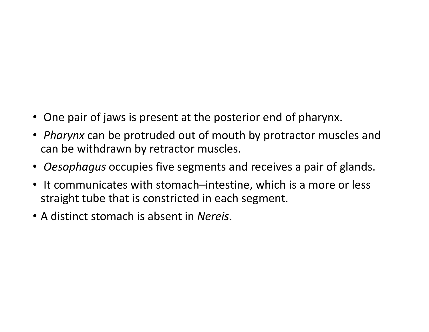- One pair of jaws is present at the posterior end of pharynx.
- *Pharynx* can be protruded out of mouth by protractor muscles and can be withdrawn by retractor muscles.
- *Oesophagus* occupies five segments and receives a pair of glands.
- It communicates with stomach–intestine, which is a more or less straight tube that is constricted in each segment.
- A distinct stomach is absent in *Nereis*.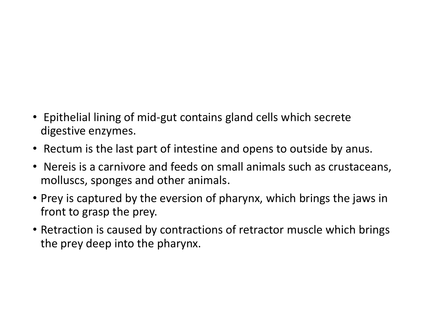- Epithelial lining of mid‐gut contains gland cells which secrete digestive enzymes.
- Rectum is the last part of intestine and opens to outside by anus.
- Nereis is a carnivore and feeds on small animals such as crustaceans, molluscs, sponges and other animals.
- Prey is captured by the eversion of pharynx, which brings the jaws in front to grasp the prey.
- Retraction is caused by contractions of retractor muscle which brings the prey deep into the pharynx.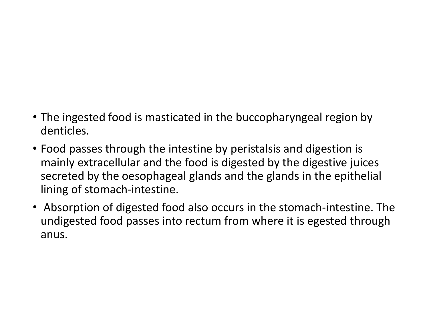- The ingested food is masticated in the buccopharyngeal region by denticles.
- Food passes through the intestine by peristalsis and digestion is mainly extracellular and the food is digested by the digestive juices secreted by the oesophageal glands and the glands in the epithelial lining of stomach‐intestine.
- Absorption of digested food also occurs in the stomach‐intestine. The undigested food passes into rectum from where it is egested through anus.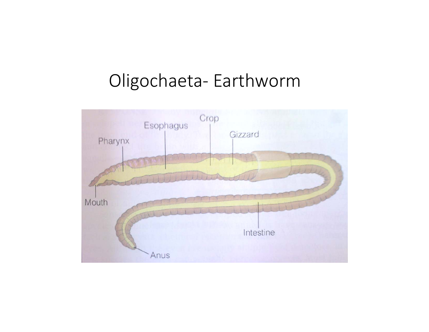## Oligochaeta‐ Earthworm

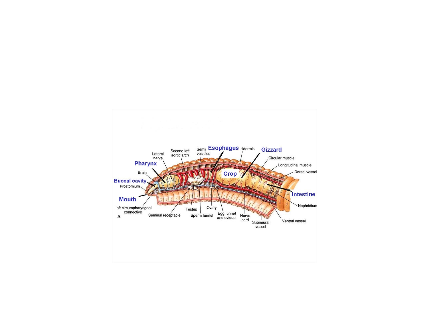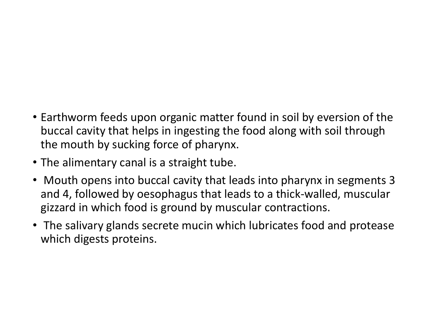- Earthworm feeds upon organic matter found in soil by eversion of the buccal cavity that helps in ingesting the food along with soil through the mouth by sucking force of pharynx.
- The alimentary canal is a straight tube.
- Mouth opens into buccal cavity that leads into pharynx in segments 3 and 4, followed by oesophagus that leads to a thick‐walled, muscular gizzard in which food is ground by muscular contractions.
- The salivary glands secrete mucin which lubricates food and protease which digests proteins.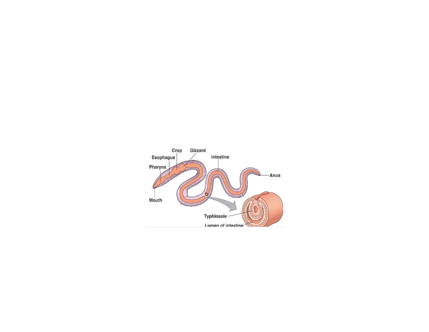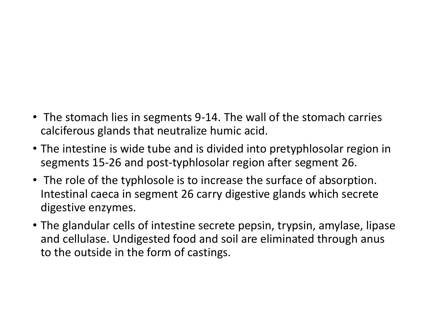- The stomach lies in segments 9-14. The wall of the stomach carries calciferous glands that neutralize humic acid.
- The intestine is wide tube and is divided into pretyphlosolar region in segments 15‐26 and post‐typhlosolar region after segment 26.
- The role of the typhlosole is to increase the surface of absorption. Intestinal caeca in segment 26 carry digestive glands which secrete digestive enzymes.
- The glandular cells of intestine secrete pepsin, trypsin, amylase, lipase and cellulase. Undigested food and soil are eliminated through anus to the outside in the form of castings.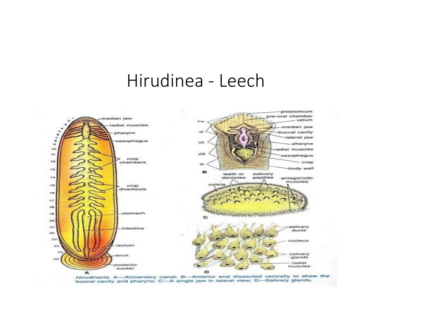## Hirudinea - Leech



Hirudinaria. A-Alimentary canal; B-Anterior end dissected ventrally to show the buccal cavity and pharynx; C-A single jaw in lateral view; D-Salivary glands.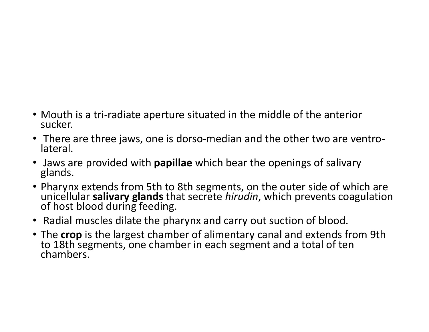- Mouth is a tri-radiate aperture situated in the middle of the anterior sucker.
- There are three jaws, one is dorso-median and the other two are ventro-<br>lateral.
- Jaws are provided with **papillae** which bear the openings of salivary glands.
- Pharynx extends from 5th to 8th segments, on the outer side of which are<br>unicellular **salivary glands** that secrete *hirudin*. which prevents coagulatior **salivary glands** that secrete *hirudin*, which prevents coagulation of host blood during feeding.
- Radial muscles dilate the pharynx and carry out suction of blood.
- The **crop** is the largest chamber of alimentary canal and extends from 9th<br>to 18th segments, one chamber in each segment and a total of ten<br>chambers.